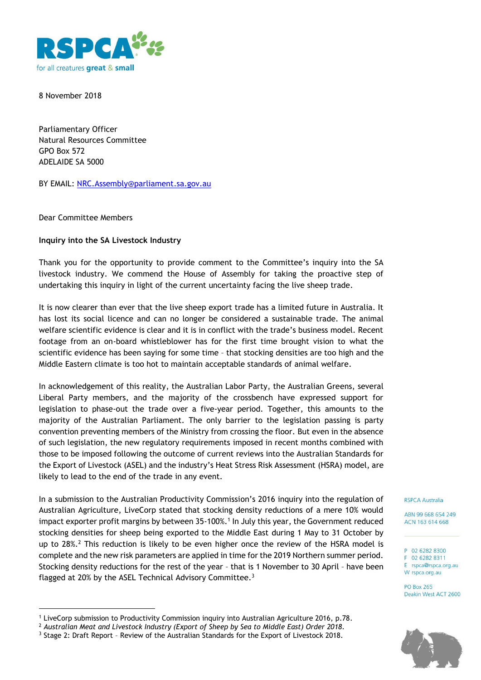

8 November 2018

Parliamentary Officer Natural Resources Committee GPO Box 572 ADELAIDE SA 5000

BY EMAIL: [NRC.Assembly@parliament.sa.gov.au](mailto:NRC.Assembly@parliament.sa.gov.au)

Dear Committee Members

 $\overline{a}$ 

## **Inquiry into the SA Livestock Industry**

Thank you for the opportunity to provide comment to the Committee's inquiry into the SA livestock industry. We commend the House of Assembly for taking the proactive step of undertaking this inquiry in light of the current uncertainty facing the live sheep trade.

It is now clearer than ever that the live sheep export trade has a limited future in Australia. It has lost its social licence and can no longer be considered a sustainable trade. The animal welfare scientific evidence is clear and it is in conflict with the trade's business model. Recent footage from an on-board whistleblower has for the first time brought vision to what the scientific evidence has been saying for some time – that stocking densities are too high and the Middle Eastern climate is too hot to maintain acceptable standards of animal welfare.

In acknowledgement of this reality, the Australian Labor Party, the Australian Greens, several Liberal Party members, and the majority of the crossbench have expressed support for legislation to phase-out the trade over a five-year period. Together, this amounts to the majority of the Australian Parliament. The only barrier to the legislation passing is party convention preventing members of the Ministry from crossing the floor. But even in the absence of such legislation, the new regulatory requirements imposed in recent months combined with those to be imposed following the outcome of current reviews into the Australian Standards for the Export of Livestock (ASEL) and the industry's Heat Stress Risk Assessment (HSRA) model, are likely to lead to the end of the trade in any event.

In a submission to the Australian Productivity Commission's 2016 inquiry into the regulation of Australian Agriculture, LiveCorp stated that stocking density reductions of a mere 10% would impact exporter profit margins by between 35-100%.<sup>1</sup> In July this year, the Government reduced stocking densities for sheep being exported to the Middle East during 1 May to 31 October by up to  $28\%$ .<sup>2</sup> This reduction is likely to be even higher once the review of the HSRA model is complete and the new risk parameters are applied in time for the 2019 Northern summer period. Stocking density reductions for the rest of the year – that is 1 November to 30 April – have been flagged at 20% by the ASEL Technical Advisory Committee.<sup>3</sup>

## **RSPCA Australia**

ABN 99 668 654 249 ACN 163 614 668

## P 02 6282 8300

F 02 6282 8311 E rspca@rspca.org.au W rspca.org.au

**PO Box 265** Deakin West ACT 2600



<sup>1</sup> LiveCorp submission to Productivity Commission inquiry into Australian Agriculture 2016, p.78.

<sup>2</sup> *Australian Meat and Livestock Industry (Export of Sheep by Sea to Middle East) Order 2018*.

<sup>3</sup> Stage 2: Draft Report – Review of the Australian Standards for the Export of Livestock 2018.